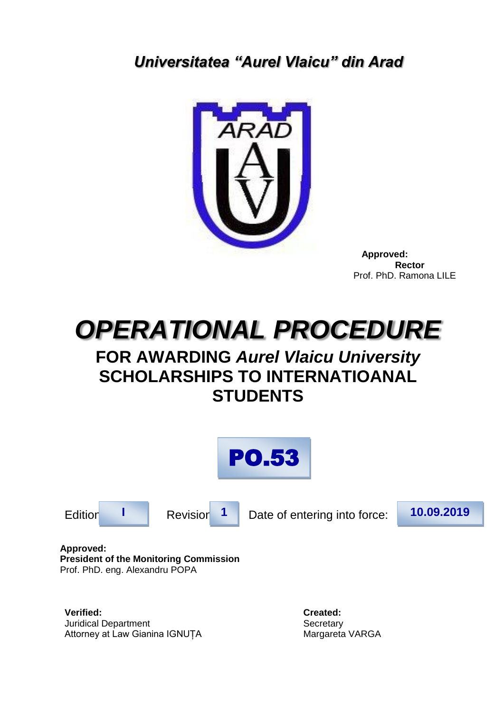*Universitatea "Aurel Vlaicu" din Arad*



 **Approved: Rector** Prof. PhD. Ramona LILE



# **FOR AWARDING** *Aurel Vlaicu University* **SCHOLARSHIPS TO INTERNATIOANAL STUDENTS**







Edition **I** Revision 1 Date of entering into force: **10.09.2019** 

**Approved: President of the Monitoring Commission** Prof. PhD. eng. Alexandru POPA

**Verified: Created:** Juridical Department<br>
Attorney at Law Gianina IGNUTA<br>
Secretary
Margareta VARGA Attorney at Law Gianina IGNUȚA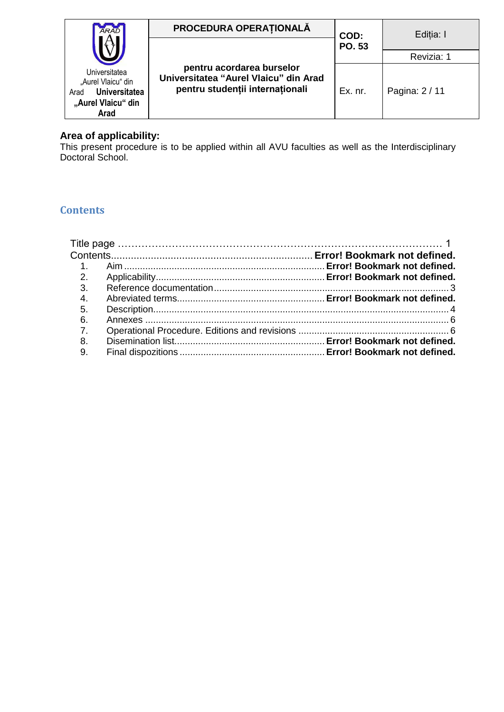| ARAD                                                                                              | PROCEDURA OPERATIONALĂ                                                                                | COD:    | Editia: I      |
|---------------------------------------------------------------------------------------------------|-------------------------------------------------------------------------------------------------------|---------|----------------|
|                                                                                                   |                                                                                                       | PO. 53  | Revizia: 1     |
| Universitatea<br>"Aurel Vlaicu" din<br><b>Universitatea</b><br>Arad<br>"Aurel Vlaicu" din<br>Arad | pentru acordarea burselor<br>Universitatea "Aurel Vlaicu" din Arad<br>pentru studentii internationali | Ex. nr. | Pagina: 2 / 11 |

### **Area of applicability:**

This present procedure is to be applied within all AVU faculties as well as the Interdisciplinary Doctoral School.

# **Contents**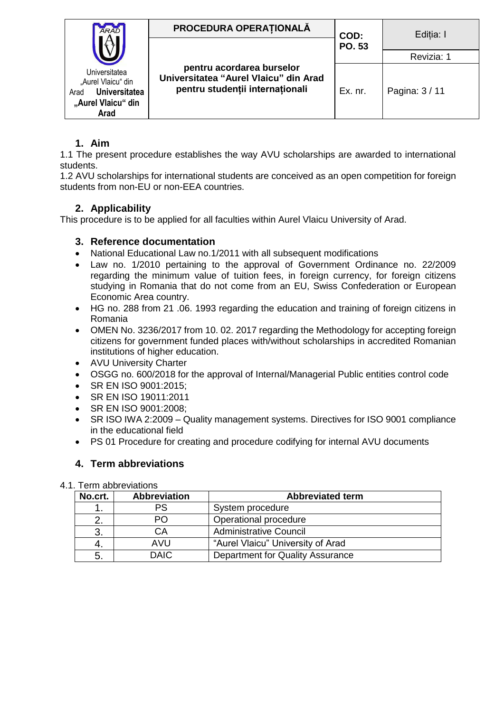| PROCEDURA OPERATIONALĂ<br><b>ARAD</b>                                                             |                                                                                                       | COD:       | Editia: I      |
|---------------------------------------------------------------------------------------------------|-------------------------------------------------------------------------------------------------------|------------|----------------|
|                                                                                                   | PO. 53                                                                                                | Revizia: 1 |                |
| Universitatea<br>"Aurel Vlaicu" din<br><b>Universitatea</b><br>Arad<br>"Aurel Vlaicu" din<br>Arad | pentru acordarea burselor<br>Universitatea "Aurel Vlaicu" din Arad<br>pentru studentii internationali | Ex. nr.    | Pagina: 3 / 11 |

# **1. Aim**

1.1 The present procedure establishes the way AVU scholarships are awarded to international students.

1.2 AVU scholarships for international students are conceived as an open competition for foreign students from non-EU or non-EEA countries.

# **2. Applicability**

This procedure is to be applied for all faculties within Aurel Vlaicu University of Arad.

# <span id="page-2-0"></span>**3. Reference documentation**

- National Educational Law no.1/2011 with all subsequent modifications
- Law no. 1/2010 pertaining to the approval of Government Ordinance no. 22/2009 regarding the minimum value of tuition fees, in foreign currency, for foreign citizens studying in Romania that do not come from an EU, Swiss Confederation or European Economic Area country.
- HG no. 288 from 21 .06. 1993 regarding the education and training of foreign citizens in Romania
- OMEN No. 3236/2017 from 10. 02. 2017 regarding the Methodology for accepting foreign citizens for government funded places with/without scholarships in accredited Romanian institutions of higher education.
- AVU University Charter
- OSGG no. 600/2018 for the approval of Internal/Managerial Public entities control code
- SR EN ISO 9001:2015:
- **SR EN ISO 19011:2011**
- SR EN ISO 9001:2008:
- SR ISO IWA 2:2009 Quality management systems. Directives for ISO 9001 compliance in the educational field
- PS 01 Procedure for creating and procedure codifying for internal AVU documents

# **4. Term abbreviations**

4.1. Term abbreviations

| No.crt. | <b>Abbreviation</b> | <b>Abbreviated term</b>           |
|---------|---------------------|-----------------------------------|
|         | PS                  | System procedure                  |
|         | PO                  | Operational procedure             |
| 3.      | СA                  | <b>Administrative Council</b>     |
|         | <b>AVU</b>          | "Aurel Vlaicu" University of Arad |
| 5.      | <b>DAIC</b>         | Department for Quality Assurance  |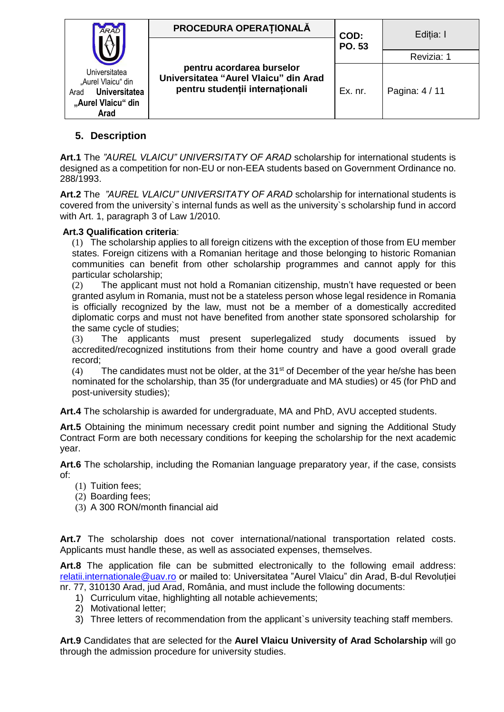| ARAD                                                                                              | PROCEDURA OPERATIONALĂ                                                                                | COD:    | Editia: I      |
|---------------------------------------------------------------------------------------------------|-------------------------------------------------------------------------------------------------------|---------|----------------|
|                                                                                                   |                                                                                                       | PO. 53  | Revizia: 1     |
| Universitatea<br>"Aurel Vlaicu" din<br><b>Universitatea</b><br>Arad<br>"Aurel Vlaicu" din<br>Arad | pentru acordarea burselor<br>Universitatea "Aurel Vlaicu" din Arad<br>pentru studenții internaționali | Ex. nr. | Pagina: 4 / 11 |

# <span id="page-3-0"></span>**5. Description**

**Art.1** The *"AUREL VLAICU" UNIVERSITATY OF ARAD* scholarship for international students is designed as a competition for non-EU or non-EEA students based on Government Ordinance no. 288/1993.

**Art.2** The *"AUREL VLAICU" UNIVERSITATY OF ARAD* scholarship for international students is covered from the university`s internal funds as well as the university`s scholarship fund in accord with Art. 1, paragraph 3 of Law 1/2010.

# **Art.3 Qualification criteria**:

(1) The scholarship applies to all foreign citizens with the exception of those from EU member states. Foreign citizens with a Romanian heritage and those belonging to historic Romanian communities can benefit from other scholarship programmes and cannot apply for this particular scholarship;

(2) The applicant must not hold a Romanian citizenship, mustn't have requested or been granted asylum in Romania, must not be a stateless person whose legal residence in Romania is officially recognized by the law, must not be a member of a domestically accredited diplomatic corps and must not have benefited from another state sponsored scholarship for the same cycle of studies;

(3) The applicants must present superlegalized study documents issued by accredited/recognized institutions from their home country and have a good overall grade record;

(4) The candidates must not be older, at the  $31<sup>st</sup>$  of December of the year he/she has been nominated for the scholarship, than 35 (for undergraduate and MA studies) or 45 (for PhD and post-university studies);

**Art.4** The scholarship is awarded for undergraduate, MA and PhD, AVU accepted students.

**Art.5** Obtaining the minimum necessary credit point number and signing the Additional Study Contract Form are both necessary conditions for keeping the scholarship for the next academic year.

**Art.6** The scholarship, including the Romanian language preparatory year, if the case, consists of:

- (1) Tuition fees;
- (2) Boarding fees;
- (3) A 300 RON/month financial aid

Art.7 The scholarship does not cover international/national transportation related costs. Applicants must handle these, as well as associated expenses, themselves.

**Art.8** The application file can be submitted electronically to the following email address: [relatii.internationale@uav.ro](mailto:relatii.internationale@uav.ro) or mailed to: Universitatea "Aurel Vlaicu" din Arad, B-dul Revoluției nr. 77, 310130 Arad, jud Arad, România, and must include the following documents:

- 1) Curriculum vitae, highlighting all notable achievements;
- 2) Motivational letter;
- 3) Three letters of recommendation from the applicant`s university teaching staff members.

**Art.9** Candidates that are selected for the **Aurel Vlaicu University of Arad Scholarship** will go through the admission procedure for university studies.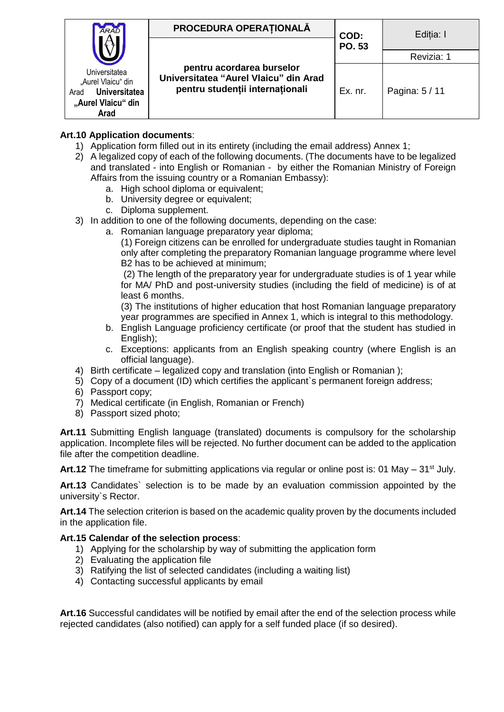| PROCEDURA OPERAȚIONALĂ<br><b>ARAD</b>                                                      |                                                                                                       | COD:    | Editia: I      |
|--------------------------------------------------------------------------------------------|-------------------------------------------------------------------------------------------------------|---------|----------------|
|                                                                                            |                                                                                                       | PO. 53  | Revizia: 1     |
| Universitatea<br>"Aurel Vlaicu" din<br>Universitatea<br>Arad<br>"Aurel Vlaicu" din<br>Arad | pentru acordarea burselor<br>Universitatea "Aurel Vlaicu" din Arad<br>pentru studenții internaționali | Ex. nr. | Pagina: 5 / 11 |

### **Art.10 Application documents**:

- 1) Application form filled out in its entirety (including the email address) Annex 1;
- 2) A legalized copy of each of the following documents. (The documents have to be legalized and translated - into English or Romanian - by either the Romanian Ministry of Foreign Affairs from the issuing country or a Romanian Embassy):
	- a. High school diploma or equivalent;
	- b. University degree or equivalent:
	- c. Diploma supplement.
- 3) In addition to one of the following documents, depending on the case:
	- a. Romanian language preparatory year diploma;

(1) Foreign citizens can be enrolled for undergraduate studies taught in Romanian only after completing the preparatory Romanian language programme where level B2 has to be achieved at minimum;

(2) The length of the preparatory year for undergraduate studies is of 1 year while for MA/ PhD and post-university studies (including the field of medicine) is of at least 6 months.

(3) The institutions of higher education that host Romanian language preparatory year programmes are specified in Annex 1, which is integral to this methodology.

- b. English Language proficiency certificate (or proof that the student has studied in English):
- c. Exceptions: applicants from an English speaking country (where English is an official language).
- 4) Birth certificate legalized copy and translation (into English or Romanian );
- 5) Copy of a document (ID) which certifies the applicant`s permanent foreign address;
- 6) Passport copy;
- 7) Medical certificate (in English, Romanian or French)
- 8) Passport sized photo;

**Art.11** Submitting English language (translated) documents is compulsory for the scholarship application. Incomplete files will be rejected. No further document can be added to the application file after the competition deadline.

Art.12 The timeframe for submitting applications via regular or online post is: 01 May – 31<sup>st</sup> July.

**Art.13** Candidates` selection is to be made by an evaluation commission appointed by the university`s Rector.

**Art.14** The selection criterion is based on the academic quality proven by the documents included in the application file.

### **Art.15 Calendar of the selection process**:

- 1) Applying for the scholarship by way of submitting the application form
- 2) Evaluating the application file
- 3) Ratifying the list of selected candidates (including a waiting list)
- 4) Contacting successful applicants by email

**Art.16** Successful candidates will be notified by email after the end of the selection process while rejected candidates (also notified) can apply for a self funded place (if so desired).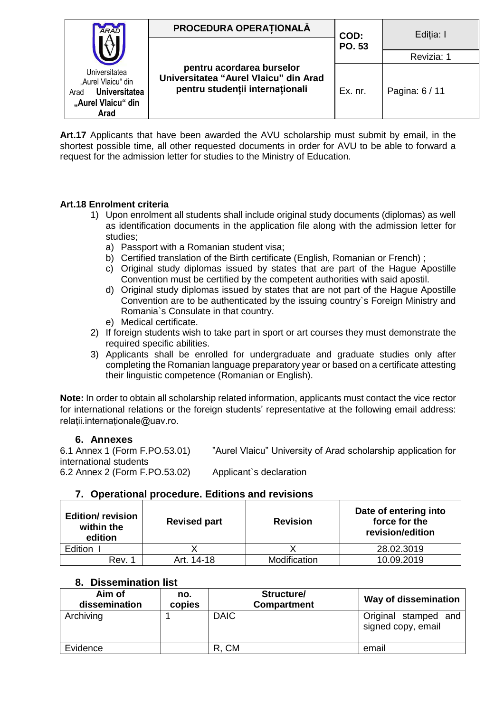| <b>ARAD</b>                                                                                       | PROCEDURA OPERATIONALĂ                                                                                | COD:    | Editia: I<br>Revizia: 1 |
|---------------------------------------------------------------------------------------------------|-------------------------------------------------------------------------------------------------------|---------|-------------------------|
|                                                                                                   |                                                                                                       | PO. 53  |                         |
| Universitatea<br>"Aurel Vlaicu" din<br><b>Universitatea</b><br>Arad<br>"Aurel Vlaicu" din<br>Arad | pentru acordarea burselor<br>Universitatea "Aurel Vlaicu" din Arad<br>pentru studenții internaționali | Ex. nr. | Pagina: 6 / 11          |

**Art.17** Applicants that have been awarded the AVU scholarship must submit by email, in the shortest possible time, all other requested documents in order for AVU to be able to forward a request for the admission letter for studies to the Ministry of Education.

# **Art.18 Enrolment criteria**

- 1) Upon enrolment all students shall include original study documents (diplomas) as well as identification documents in the application file along with the admission letter for studies;
	- a) Passport with a Romanian student visa;
	- b) Certified translation of the Birth certificate (English, Romanian or French) ;
	- c) Original study diplomas issued by states that are part of the Hague Apostille Convention must be certified by the competent authorities with said apostil.
	- d) Original study diplomas issued by states that are not part of the Hague Apostille Convention are to be authenticated by the issuing country`s Foreign Ministry and Romania`s Consulate in that country.
	- e) Medical certificate.
- 2) If foreign students wish to take part in sport or art courses they must demonstrate the required specific abilities.
- 3) Applicants shall be enrolled for undergraduate and graduate studies only after completing the Romanian language preparatory year or based on a certificate attesting their linguistic competence (Romanian or English).

**Note:** In order to obtain all scholarship related information, applicants must contact the vice rector for international relations or the foreign students' representative at the following email address: relații.internaționale@uav.ro.

### **6. Annexes**

<span id="page-5-0"></span>6.1 Annex 1 (Form F.PO.53.01) "Aurel Vlaicu" University of Arad scholarship application for international students 6.2 Annex 2 (Form F.PO.53.02) Applicant`s declaration

### **7. Operational procedure. Editions and revisions**

<span id="page-5-1"></span>

| <b>Edition/ revision</b><br>within the<br>edition | <b>Revised part</b> | <b>Revision</b> | Date of entering into<br>force for the<br>revision/edition |
|---------------------------------------------------|---------------------|-----------------|------------------------------------------------------------|
| Edition                                           |                     |                 | 28.02.3019                                                 |
| Rev.                                              | Art. 14-18          | Modification    | 10.09.2019                                                 |

### **8. Dissemination list**

| Aim of<br>dissemination | no.<br>copies | Structure/<br><b>Compartment</b> | Way of dissemination                       |
|-------------------------|---------------|----------------------------------|--------------------------------------------|
| Archiving               |               | <b>DAIC</b>                      | Original stamped and<br>signed copy, email |
| Evidence                |               | R. CM                            | email                                      |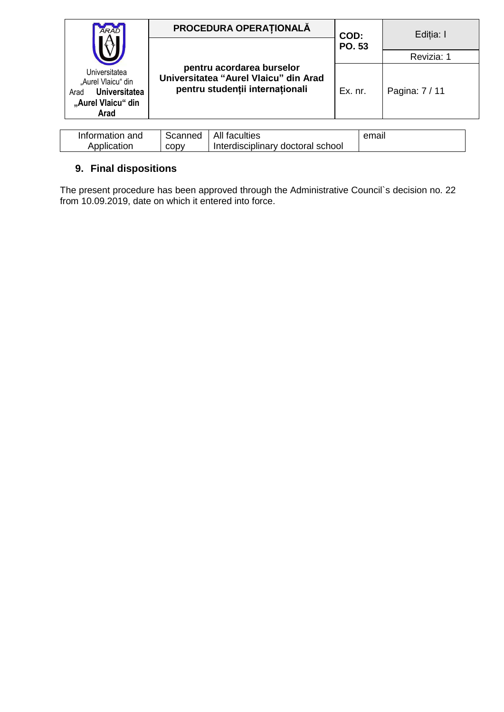| <b>ARAL</b>                                                                                       | PROCEDURA OPERATIONALĂ                                                                                | COD:    | Editia: I<br>Revizia: 1 |
|---------------------------------------------------------------------------------------------------|-------------------------------------------------------------------------------------------------------|---------|-------------------------|
|                                                                                                   |                                                                                                       | PO. 53  |                         |
| Universitatea<br>"Aurel Vlaicu" din<br><b>Universitatea</b><br>Arad<br>"Aurel Vlaicu" din<br>Arad | pentru acordarea burselor<br>Universitatea "Aurel Vlaicu" din Arad<br>pentru studentii internationali | Ex. nr. | Pagina: 7 / 11          |

| Information and | Scanned | All faculties                     | email |
|-----------------|---------|-----------------------------------|-------|
| Application     | copy    | Interdisciplinary doctoral school |       |

# **9. Final dispositions**

The present procedure has been approved through the Administrative Council`s decision no. 22 from 10.09.2019, date on which it entered into force.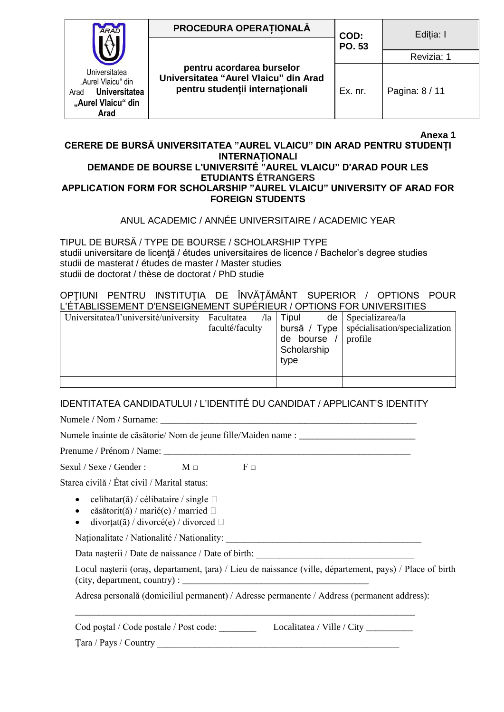| <b>ARAD</b>                                                                                              | PROCEDURA OPERAȚIONALĂ                                                                                | COD:          | Editia: I      |
|----------------------------------------------------------------------------------------------------------|-------------------------------------------------------------------------------------------------------|---------------|----------------|
|                                                                                                          |                                                                                                       | <b>PO. 53</b> |                |
|                                                                                                          |                                                                                                       |               | Revizia: 1     |
| Universitatea<br>"Aurel Vlaicu" din<br><b>Universitatea</b><br>Arad<br>"Aurel Vlaicu" din<br><b>Arad</b> | pentru acordarea burselor<br>Universitatea "Aurel Vlaicu" din Arad<br>pentru studentii internationali | Ex. nr.       | Pagina: 8 / 11 |

**Anexa 1**

### **CERERE DE BURSĂ UNIVERSITATEA "AUREL VLAICU" DIN ARAD PENTRU STUDENȚI INTERNAȚIONALI DEMANDE DE BOURSE L'UNIVERSITÉ "AUREL VLAICU" D'ARAD POUR LES ETUDIANTS ÉTRANGERS APPLICATION FORM FOR SCHOLARSHIP "AUREL VLAICU" UNIVERSITY OF ARAD FOR FOREIGN STUDENTS**

### ANUL ACADEMIC / ANNÉE UNIVERSITAIRE / ACADEMIC YEAR

TIPUL DE BURSĂ / TYPE DE BOURSE / SCHOLARSHIP TYPE studii universitare de licență / études universitaires de licence / Bachelor's degree studies studii de masterat / études de master / Master studies studii de doctorat / thèse de doctorat / PhD studie

OPTIUNI PENTRU INSTITUTIA DE ÎNVĂTĂMÂNT SUPERIOR / OPTIONS POUR L'ÉTABLISSEMENT D'ENSEIGNEMENT SUPÉRIEUR / OPTIONS FOR UNIVERSITIES

| Universitatea/l'université/university   Facultatea /la   Tipul |                 |             | $de$ Specializarea/la                        |
|----------------------------------------------------------------|-----------------|-------------|----------------------------------------------|
|                                                                | faculté/faculty |             | bursă / Type   spécialisation/specialization |
|                                                                |                 | de bourse   | profile                                      |
|                                                                |                 | Scholarship |                                              |
|                                                                |                 | type        |                                              |
|                                                                |                 |             |                                              |
|                                                                |                 |             |                                              |

### IDENTITATEA CANDIDATULUI / L'IDENTITÉ DU CANDIDAT / APPLICANT'S IDENTITY

Numele / Nom / Surname:

Numele înainte de căsătorie/ Nom de jeune fille/Maiden name : \_\_\_\_\_\_\_\_\_\_\_\_\_\_\_\_\_\_\_

Prenume / Prénom / Name:

 $Sexul / Sexe / Gender : M \sqcap$  F  $\sqcap$ 

Starea civilă / État civil / Marital status:

- celibatar( $\check{a}$ ) / célibataire / single  $\Box$
- căsătorit(ă) / marié(e) / married  $\Box$
- $\bullet$  divorțat(ă) / divorcé(e) / divorced  $\Box$

Nationalitate / Nationalité / Nationality:

Data nașterii / Date de naissance / Date of birth:

Locul nașterii (oraș, departament, țara) / Lieu de naissance (ville, département, pays) / Place of birth  $(city, department, country)$ :

Adresa personală (domiciliul permanent) / Adresse permanente / Address (permanent address):

Cod postal / Code postale / Post code: <br>  $Localitatea / Ville / City$ 

\_\_\_\_\_\_\_\_\_\_\_\_\_\_\_\_\_\_\_\_\_\_\_\_\_\_\_\_\_\_\_\_\_\_\_\_\_\_\_\_\_\_\_\_\_\_\_\_\_\_\_\_\_\_\_\_\_\_\_\_\_\_\_\_\_\_\_\_\_\_\_\_\_

Ţara / Pays / Country \_\_\_\_\_\_\_\_\_\_\_\_\_\_\_\_\_\_\_\_\_\_\_\_\_\_\_\_\_\_\_\_\_\_\_\_\_\_\_\_\_\_\_\_\_\_\_\_\_\_\_\_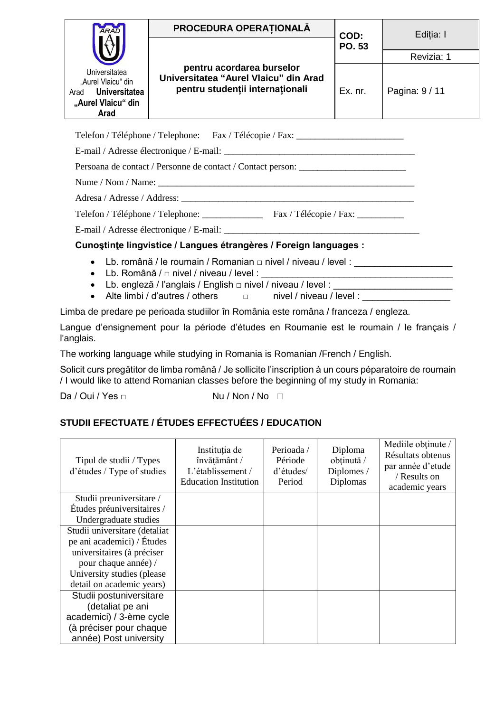| ARAD                                               | PROCEDURA OPERATIONALĂ                                             | COD:    | Editia: I      |
|----------------------------------------------------|--------------------------------------------------------------------|---------|----------------|
|                                                    |                                                                    | PO. 53  |                |
|                                                    |                                                                    |         | Revizia: 1     |
| Universitatea                                      | pentru acordarea burselor<br>Universitatea "Aurel Vlaicu" din Arad |         |                |
| "Aurel Vlaicu" din<br><b>Universitatea</b><br>Arad | pentru studentii internationali                                    | Ex. nr. | Pagina: 9 / 11 |
| "Aurel Vlaicu" din                                 |                                                                    |         |                |
| Arad                                               |                                                                    |         |                |

Telefon / Téléphone / Telephone: Fax / Télécopie / Fax: \_\_\_\_\_\_\_\_\_\_\_\_\_\_\_\_\_\_\_\_\_\_\_\_

E-mail / Adresse électronique / E-mail: \_\_\_\_\_\_\_\_\_\_\_\_\_\_\_\_\_\_\_\_\_\_\_\_\_\_\_\_\_\_\_\_\_\_\_\_\_\_\_\_\_

Persoana de contact / Personne de contact / Contact person: \_\_\_\_\_\_\_\_\_\_\_\_\_\_\_\_\_\_\_\_

Nume / Nom / Name:

Adresa / Adresse / Address:

Telefon / Téléphone / Telephone: \_\_\_\_\_\_\_\_\_\_\_\_\_\_\_ Fax / Télécopie / Fax: \_\_\_\_\_\_\_\_

E-mail / Adresse électronique / E-mail: \_\_\_\_\_\_\_\_\_\_\_\_\_\_\_\_\_\_\_\_\_\_\_\_\_\_\_\_\_\_\_\_\_\_\_\_\_\_\_\_\_\_

### **Cunoştinţe lingvistice / Langues étrangères / Foreign languages :**

- Lb. română / le roumain / Romanian □ nivel / niveau / level :
- Lb. Română / □ nivel / niveau / level :
- Lb. engleză / l'anglais / English □ nivel / niveau / level :
- Alte limbi / d'autres / others □ nivel / niveau / level :

Limba de predare pe perioada studiilor în România este româna / franceza / engleza.

Langue d'ensignement pour la période d'études en Roumanie est le roumain / le français / l'anglais.

The working language while studying in Romania is Romanian /French / English.

Solicit curs pregătitor de limba română / Je sollicite l'inscription à un cours péparatoire de roumain / I would like to attend Romanian classes before the beginning of my study in Romania:

Da / Oui / Yes □ Nu / Non / No

# **STUDII EFECTUATE / ÉTUDES EFFECTUÉES / EDUCATION**

| Tipul de studii / Types<br>d'études / Type of studies | Instituția de<br>învățământ /<br>L'établissement /<br><b>Education Institution</b> | Perioada /<br>Période<br>d'études/<br>Period | Diploma<br>obținută /<br>Diplomes /<br>Diplomas | Mediile obținute /<br>Résultats obtenus<br>par année d'etude<br>/ Results on<br>academic years |
|-------------------------------------------------------|------------------------------------------------------------------------------------|----------------------------------------------|-------------------------------------------------|------------------------------------------------------------------------------------------------|
| Studii preuniversitare /                              |                                                                                    |                                              |                                                 |                                                                                                |
| Études préuniversitaires /                            |                                                                                    |                                              |                                                 |                                                                                                |
| Undergraduate studies                                 |                                                                                    |                                              |                                                 |                                                                                                |
| Studii universitare (detaliat                         |                                                                                    |                                              |                                                 |                                                                                                |
| pe ani academici) / Études                            |                                                                                    |                                              |                                                 |                                                                                                |
| universitaires (à préciser                            |                                                                                    |                                              |                                                 |                                                                                                |
| pour chaque année) /                                  |                                                                                    |                                              |                                                 |                                                                                                |
| University studies (please)                           |                                                                                    |                                              |                                                 |                                                                                                |
| detail on academic years)                             |                                                                                    |                                              |                                                 |                                                                                                |
| Studii postuniversitare                               |                                                                                    |                                              |                                                 |                                                                                                |
| (detaliat pe ani                                      |                                                                                    |                                              |                                                 |                                                                                                |
| academici) / 3-ème cycle                              |                                                                                    |                                              |                                                 |                                                                                                |
| (à préciser pour chaque                               |                                                                                    |                                              |                                                 |                                                                                                |
| année) Post university                                |                                                                                    |                                              |                                                 |                                                                                                |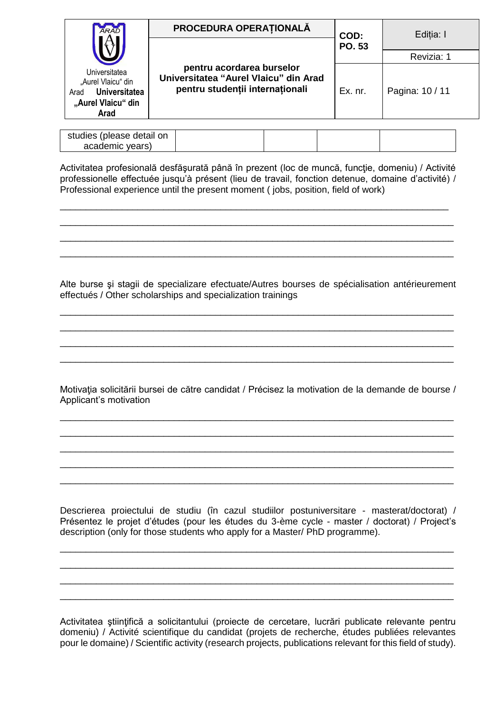| ARAD                                                                                              | PROCEDURA OPERATIONALĂ                                                                                | COD:    | Editia: I       |
|---------------------------------------------------------------------------------------------------|-------------------------------------------------------------------------------------------------------|---------|-----------------|
|                                                                                                   |                                                                                                       | PO. 53  | Revizia: 1      |
| Universitatea<br>"Aurel Vlaicu" din<br><b>Universitatea</b><br>Arad<br>"Aurel Vlaicu" din<br>Arad | pentru acordarea burselor<br>Universitatea "Aurel Vlaicu" din Arad<br>pentru studentii internationali | Ex. nr. | Pagina: 10 / 11 |

| studies (please detail on |  |  |
|---------------------------|--|--|
| academic years)           |  |  |

Activitatea profesională desfăşurată până în prezent (loc de muncă, funcţie, domeniu) / Activité professionelle effectuée jusqu'à présent (lieu de travail, fonction detenue, domaine d'activité) / Professional experience until the present moment ( jobs, position, field of work)

\_\_\_\_\_\_\_\_\_\_\_\_\_\_\_\_\_\_\_\_\_\_\_\_\_\_\_\_\_\_\_\_\_\_\_\_\_\_\_\_\_\_\_\_\_\_\_\_\_\_\_\_\_\_\_\_\_\_\_\_\_\_\_\_\_\_\_\_\_\_\_\_\_\_\_ \_\_\_\_\_\_\_\_\_\_\_\_\_\_\_\_\_\_\_\_\_\_\_\_\_\_\_\_\_\_\_\_\_\_\_\_\_\_\_\_\_\_\_\_\_\_\_\_\_\_\_\_\_\_\_\_\_\_\_\_\_\_\_\_\_\_\_\_\_\_\_\_\_\_\_\_ \_\_\_\_\_\_\_\_\_\_\_\_\_\_\_\_\_\_\_\_\_\_\_\_\_\_\_\_\_\_\_\_\_\_\_\_\_\_\_\_\_\_\_\_\_\_\_\_\_\_\_\_\_\_\_\_\_\_\_\_\_\_\_\_\_\_\_\_\_\_\_\_\_\_\_\_ \_\_\_\_\_\_\_\_\_\_\_\_\_\_\_\_\_\_\_\_\_\_\_\_\_\_\_\_\_\_\_\_\_\_\_\_\_\_\_\_\_\_\_\_\_\_\_\_\_\_\_\_\_\_\_\_\_\_\_\_\_\_\_\_\_\_\_\_\_\_\_\_\_\_\_\_

Alte burse şi stagii de specializare efectuate/Autres bourses de spécialisation antérieurement effectués / Other scholarships and specialization trainings

\_\_\_\_\_\_\_\_\_\_\_\_\_\_\_\_\_\_\_\_\_\_\_\_\_\_\_\_\_\_\_\_\_\_\_\_\_\_\_\_\_\_\_\_\_\_\_\_\_\_\_\_\_\_\_\_\_\_\_\_\_\_\_\_\_\_\_\_\_\_\_\_\_\_\_\_ \_\_\_\_\_\_\_\_\_\_\_\_\_\_\_\_\_\_\_\_\_\_\_\_\_\_\_\_\_\_\_\_\_\_\_\_\_\_\_\_\_\_\_\_\_\_\_\_\_\_\_\_\_\_\_\_\_\_\_\_\_\_\_\_\_\_\_\_\_\_\_\_\_\_\_\_ \_\_\_\_\_\_\_\_\_\_\_\_\_\_\_\_\_\_\_\_\_\_\_\_\_\_\_\_\_\_\_\_\_\_\_\_\_\_\_\_\_\_\_\_\_\_\_\_\_\_\_\_\_\_\_\_\_\_\_\_\_\_\_\_\_\_\_\_\_\_\_\_\_\_\_\_ \_\_\_\_\_\_\_\_\_\_\_\_\_\_\_\_\_\_\_\_\_\_\_\_\_\_\_\_\_\_\_\_\_\_\_\_\_\_\_\_\_\_\_\_\_\_\_\_\_\_\_\_\_\_\_\_\_\_\_\_\_\_\_\_\_\_\_\_\_\_\_\_\_\_\_\_

Motivatia solicitării bursei de către candidat / Précisez la motivation de la demande de bourse / Applicant's motivation

\_\_\_\_\_\_\_\_\_\_\_\_\_\_\_\_\_\_\_\_\_\_\_\_\_\_\_\_\_\_\_\_\_\_\_\_\_\_\_\_\_\_\_\_\_\_\_\_\_\_\_\_\_\_\_\_\_\_\_\_\_\_\_\_\_\_\_\_\_\_\_\_\_\_\_\_ \_\_\_\_\_\_\_\_\_\_\_\_\_\_\_\_\_\_\_\_\_\_\_\_\_\_\_\_\_\_\_\_\_\_\_\_\_\_\_\_\_\_\_\_\_\_\_\_\_\_\_\_\_\_\_\_\_\_\_\_\_\_\_\_\_\_\_\_\_\_\_\_\_\_\_\_ \_\_\_\_\_\_\_\_\_\_\_\_\_\_\_\_\_\_\_\_\_\_\_\_\_\_\_\_\_\_\_\_\_\_\_\_\_\_\_\_\_\_\_\_\_\_\_\_\_\_\_\_\_\_\_\_\_\_\_\_\_\_\_\_\_\_\_\_\_\_\_\_\_\_\_\_ \_\_\_\_\_\_\_\_\_\_\_\_\_\_\_\_\_\_\_\_\_\_\_\_\_\_\_\_\_\_\_\_\_\_\_\_\_\_\_\_\_\_\_\_\_\_\_\_\_\_\_\_\_\_\_\_\_\_\_\_\_\_\_\_\_\_\_\_\_\_\_\_\_\_\_\_ \_\_\_\_\_\_\_\_\_\_\_\_\_\_\_\_\_\_\_\_\_\_\_\_\_\_\_\_\_\_\_\_\_\_\_\_\_\_\_\_\_\_\_\_\_\_\_\_\_\_\_\_\_\_\_\_\_\_\_\_\_\_\_\_\_\_\_\_\_\_\_\_\_\_\_\_

Descrierea proiectului de studiu (în cazul studiilor postuniversitare - masterat/doctorat) / Présentez le projet d'études (pour les études du 3-ème cycle - master / doctorat) / Project's description (only for those students who apply for a Master/ PhD programme).

\_\_\_\_\_\_\_\_\_\_\_\_\_\_\_\_\_\_\_\_\_\_\_\_\_\_\_\_\_\_\_\_\_\_\_\_\_\_\_\_\_\_\_\_\_\_\_\_\_\_\_\_\_\_\_\_\_\_\_\_\_\_\_\_\_\_\_\_\_\_\_\_\_\_\_\_ \_\_\_\_\_\_\_\_\_\_\_\_\_\_\_\_\_\_\_\_\_\_\_\_\_\_\_\_\_\_\_\_\_\_\_\_\_\_\_\_\_\_\_\_\_\_\_\_\_\_\_\_\_\_\_\_\_\_\_\_\_\_\_\_\_\_\_\_\_\_\_\_\_\_\_\_ \_\_\_\_\_\_\_\_\_\_\_\_\_\_\_\_\_\_\_\_\_\_\_\_\_\_\_\_\_\_\_\_\_\_\_\_\_\_\_\_\_\_\_\_\_\_\_\_\_\_\_\_\_\_\_\_\_\_\_\_\_\_\_\_\_\_\_\_\_\_\_\_\_\_\_\_ \_\_\_\_\_\_\_\_\_\_\_\_\_\_\_\_\_\_\_\_\_\_\_\_\_\_\_\_\_\_\_\_\_\_\_\_\_\_\_\_\_\_\_\_\_\_\_\_\_\_\_\_\_\_\_\_\_\_\_\_\_\_\_\_\_\_\_\_\_\_\_\_\_\_\_\_

Activitatea științifică a solicitantului (proiecte de cercetare, lucrări publicate relevante pentru domeniu) / Activité scientifique du candidat (projets de recherche, études publiées relevantes pour le domaine) / Scientific activity (research projects, publications relevant for this field of study).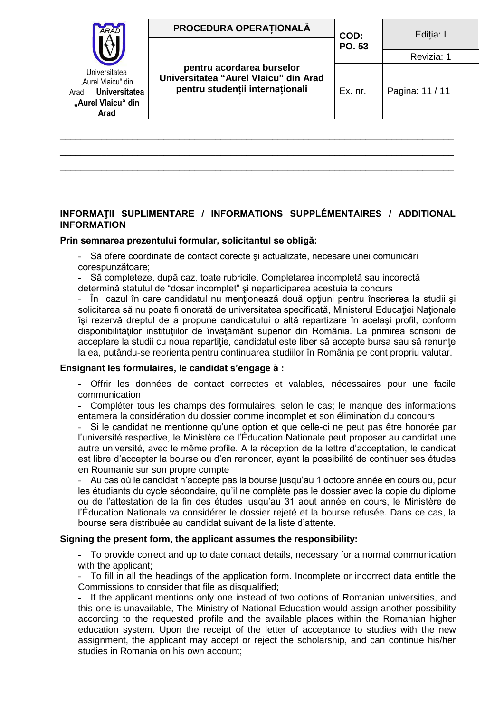| <b>ARAD</b>                                                                                       | PROCEDURA OPERATIONALĂ                                                                                | COD:       | Editia: I       |
|---------------------------------------------------------------------------------------------------|-------------------------------------------------------------------------------------------------------|------------|-----------------|
|                                                                                                   | PO. 53                                                                                                | Revizia: 1 |                 |
| Universitatea<br>"Aurel Vlaicu" din<br><b>Universitatea</b><br>Arad<br>"Aurel Vlaicu" din<br>Arad | pentru acordarea burselor<br>Universitatea "Aurel Vlaicu" din Arad<br>pentru studentii internationali | Ex. nr.    | Pagina: 11 / 11 |

### **INFORMAŢII SUPLIMENTARE / INFORMATIONS SUPPLÉMENTAIRES / ADDITIONAL INFORMATION**

\_\_\_\_\_\_\_\_\_\_\_\_\_\_\_\_\_\_\_\_\_\_\_\_\_\_\_\_\_\_\_\_\_\_\_\_\_\_\_\_\_\_\_\_\_\_\_\_\_\_\_\_\_\_\_\_\_\_\_\_\_\_\_\_\_\_\_\_\_\_\_\_\_\_\_\_ \_\_\_\_\_\_\_\_\_\_\_\_\_\_\_\_\_\_\_\_\_\_\_\_\_\_\_\_\_\_\_\_\_\_\_\_\_\_\_\_\_\_\_\_\_\_\_\_\_\_\_\_\_\_\_\_\_\_\_\_\_\_\_\_\_\_\_\_\_\_\_\_\_\_\_\_ \_\_\_\_\_\_\_\_\_\_\_\_\_\_\_\_\_\_\_\_\_\_\_\_\_\_\_\_\_\_\_\_\_\_\_\_\_\_\_\_\_\_\_\_\_\_\_\_\_\_\_\_\_\_\_\_\_\_\_\_\_\_\_\_\_\_\_\_\_\_\_\_\_\_\_\_ \_\_\_\_\_\_\_\_\_\_\_\_\_\_\_\_\_\_\_\_\_\_\_\_\_\_\_\_\_\_\_\_\_\_\_\_\_\_\_\_\_\_\_\_\_\_\_\_\_\_\_\_\_\_\_\_\_\_\_\_\_\_\_\_\_\_\_\_\_\_\_\_\_\_\_\_

### **Prin semnarea prezentului formular, solicitantul se obligă:**

- Să ofere coordinate de contact corecte şi actualizate, necesare unei comunicări corespunzătoare;

- Să completeze, după caz, toate rubricile. Completarea incompletă sau incorectă determină statutul de "dosar incomplet" şi neparticiparea acestuia la concurs
- În cazul în care candidatul nu menţionează două opţiuni pentru înscrierea la studii şi solicitarea să nu poate fi onorată de universitatea specificată, Ministerul Educației Naționale îşi rezervă dreptul de a propune candidatului o altă repartizare în acelaşi profil, conform disponibilităților instituțiilor de învățământ superior din România. La primirea scrisorii de acceptare la studii cu noua repartiție, candidatul este liber să accepte bursa sau să renunțe la ea, putându-se reorienta pentru continuarea studiilor în România pe cont propriu valutar.

### **Ensignant les formulaires, le candidat s'engage à :**

- Offrir les données de contact correctes et valables, nécessaires pour une facile communication

- Compléter tous les champs des formulaires, selon le cas; le manque des informations entamera la considération du dossier comme incomplet et son élimination du concours

Si le candidat ne mentionne qu'une option et que celle-ci ne peut pas être honorée par l'université respective, le Ministère de l'Éducation Nationale peut proposer au candidat une autre université, avec le même profile. A la réception de la lettre d'acceptation, le candidat est libre d'accepter la bourse ou d'en renoncer, ayant la possibilité de continuer ses études en Roumanie sur son propre compte

- Au cas où le candidat n'accepte pas la bourse jusqu'au 1 octobre année en cours ou, pour les étudiants du cycle sécondaire, qu'il ne complète pas le dossier avec la copie du diplome ou de l'attestation de la fin des études jusqu'au 31 aout année en cours, le Ministère de l'Éducation Nationale va considérer le dossier rejeté et la bourse refusée. Dans ce cas, la bourse sera distribuée au candidat suivant de la liste d'attente.

### **Signing the present form, the applicant assumes the responsibility:**

- To provide correct and up to date contact details, necessary for a normal communication with the applicant;

- To fill in all the headings of the application form. Incomplete or incorrect data entitle the Commissions to consider that file as disqualified;

- If the applicant mentions only one instead of two options of Romanian universities, and this one is unavailable, The Ministry of National Education would assign another possibility according to the requested profile and the available places within the Romanian higher education system. Upon the receipt of the letter of acceptance to studies with the new assignment, the applicant may accept or reject the scholarship, and can continue his/her studies in Romania on his own account;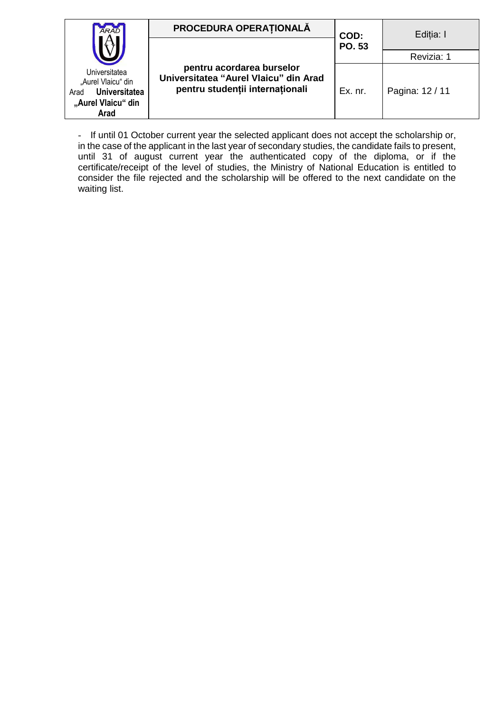| <b>ARAD</b>                                                                                       | PROCEDURA OPERATIONALĂ                                                                                | COD:    | Editia: I       |
|---------------------------------------------------------------------------------------------------|-------------------------------------------------------------------------------------------------------|---------|-----------------|
|                                                                                                   |                                                                                                       | PO. 53  | Revizia: 1      |
| Universitatea<br>"Aurel Vlaicu" din<br><b>Universitatea</b><br>Arad<br>"Aurel Vlaicu" din<br>Arad | pentru acordarea burselor<br>Universitatea "Aurel Vlaicu" din Arad<br>pentru studenții internaționali | Ex. nr. | Pagina: 12 / 11 |

- If until 01 October current year the selected applicant does not accept the scholarship or, in the case of the applicant in the last year of secondary studies, the candidate fails to present, until 31 of august current year the authenticated copy of the diploma, or if the certificate/receipt of the level of studies, the Ministry of National Education is entitled to consider the file rejected and the scholarship will be offered to the next candidate on the waiting list.